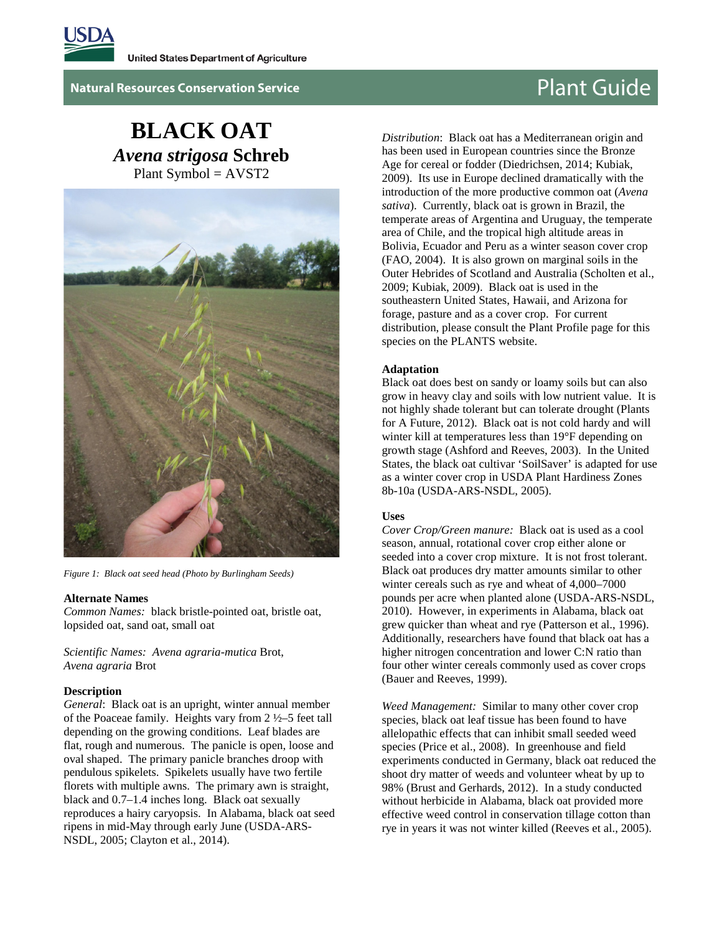

**Natural Resources Conservation Service Plant Guide** 

# **BLACK OAT** *Avena strigosa* **Schreb** Plant Symbol = AVST2



*Figure 1: Black oat seed head (Photo by Burlingham Seeds)* 

#### **Alternate Names**

*Common Names:* black bristle-pointed oat, bristle oat, lopsided oat, sand oat, small oat

*Scientific Names: Avena agraria-mutica* Brot, *Avena agraria* Brot

#### **Description**

*General*: Black oat is an upright, winter annual member of the Poaceae family. Heights vary from 2 ½–5 feet tall depending on the growing conditions. Leaf blades are flat, rough and numerous. The panicle is open, loose and oval shaped. The primary panicle branches droop with pendulous spikelets. Spikelets usually have two fertile florets with multiple awns. The primary awn is straight, black and 0.7–1.4 inches long. Black oat sexually reproduces a hairy caryopsis. In Alabama, black oat seed ripens in mid-May through early June (USDA-ARS-NSDL, 2005; Clayton et al., 2014).

*Distribution*: Black oat has a Mediterranean origin and has been used in European countries since the Bronze Age for cereal or fodder (Diedrichsen, 2014; Kubiak, 2009). Its use in Europe declined dramatically with the introduction of the more productive common oat (*Avena sativa*). Currently, black oat is grown in Brazil, the temperate areas of Argentina and Uruguay, the temperate area of Chile, and the tropical high altitude areas in Bolivia, Ecuador and Peru as a winter season cover crop (FAO, 2004). It is also grown on marginal soils in the Outer Hebrides of Scotland and Australia (Scholten et al., 2009; Kubiak, 2009). Black oat is used in the southeastern United States, Hawaii, and Arizona for forage, pasture and as a cover crop. For current distribution, please consult the Plant Profile page for this species on the PLANTS website.

# **Adaptation**

Black oat does best on sandy or loamy soils but can also grow in heavy clay and soils with low nutrient value. It is not highly shade tolerant but can tolerate drought (Plants for A Future, 2012). Black oat is not cold hardy and will winter kill at temperatures less than 19°F depending on growth stage (Ashford and Reeves, 2003). In the United States, the black oat cultivar 'SoilSaver' is adapted for use as a winter cover crop in USDA Plant Hardiness Zones 8b-10a (USDA-ARS-NSDL, 2005).

#### **Uses**

*Cover Crop/Green manure:* Black oat is used as a cool season, annual, rotational cover crop either alone or seeded into a cover crop mixture. It is not frost tolerant. Black oat produces dry matter amounts similar to other winter cereals such as rye and wheat of 4,000–7000 pounds per acre when planted alone (USDA-ARS-NSDL, 2010). However, in experiments in Alabama, black oat grew quicker than wheat and rye (Patterson et al., 1996). Additionally, researchers have found that black oat has a higher nitrogen concentration and lower C:N ratio than four other winter cereals commonly used as cover crops (Bauer and Reeves, 1999).

*Weed Management:* Similar to many other cover crop species, black oat leaf tissue has been found to have allelopathic effects that can inhibit small seeded weed species (Price et al., 2008). In greenhouse and field experiments conducted in Germany, black oat reduced the shoot dry matter of weeds and volunteer wheat by up to 98% (Brust and Gerhards, 2012). In a study conducted without herbicide in Alabama, black oat provided more effective weed control in conservation tillage cotton than rye in years it was not winter killed (Reeves et al., 2005).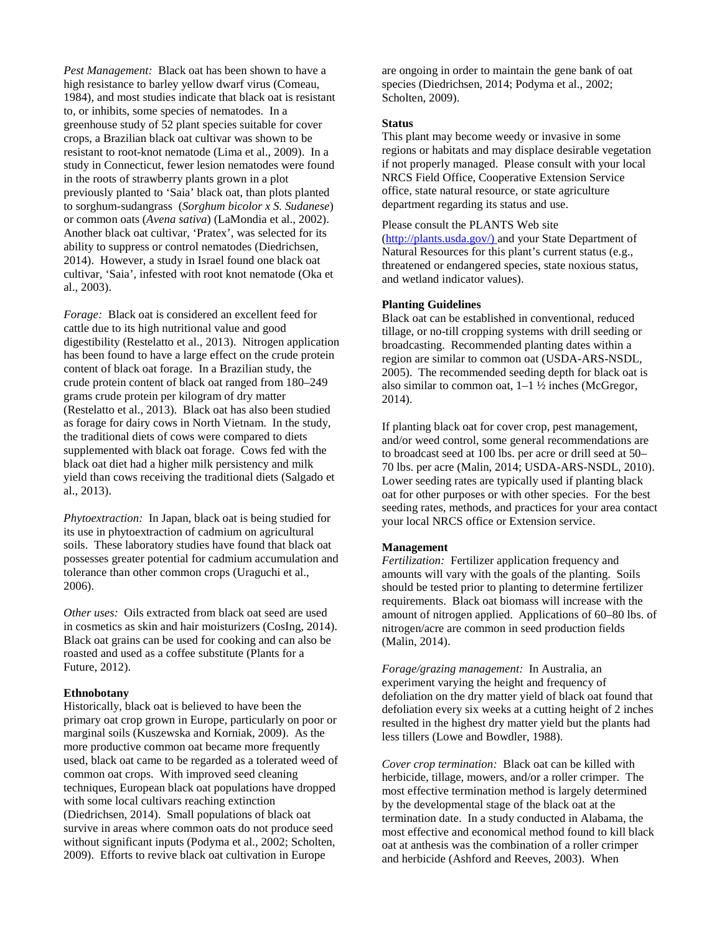*Pest Management:* Black oat has been shown to have a high resistance to barley yellow dwarf virus (Comeau, 1984), and most studies indicate that black oat is resistant to, or inhibits, some species of nematodes. In a greenhouse study of 52 plant species suitable for cover crops, a Brazilian black oat cultivar was shown to be resistant to root-knot nematode (Lima et al., 2009). In a study in Connecticut, fewer lesion nematodes were found in the roots of strawberry plants grown in a plot previously planted to 'Saia' black oat, than plots planted to sorghum-sudangrass (*Sorghum bicolor x S. Sudanese*) or common oats (*Avena sativa*) (LaMondia et al., 2002). Another black oat cultivar, 'Pratex', was selected for its ability to suppress or control nematodes (Diedrichsen, 2014). However, a study in Israel found one black oat cultivar, 'Saia', infested with root knot nematode (Oka et al., 2003).

*Forage:* Black oat is considered an excellent feed for cattle due to its high nutritional value and good digestibility (Restelatto et al., 2013). Nitrogen application has been found to have a large effect on the crude protein content of black oat forage. In a Brazilian study, the crude protein content of black oat ranged from 180–249 grams crude protein per kilogram of dry matter (Restelatto et al., 2013). Black oat has also been studied as forage for dairy cows in North Vietnam. In the study, the traditional diets of cows were compared to diets supplemented with black oat forage. Cows fed with the black oat diet had a higher milk persistency and milk yield than cows receiving the traditional diets (Salgado et al., 2013).

*Phytoextraction:* In Japan, black oat is being studied for its use in phytoextraction of cadmium on agricultural soils. These laboratory studies have found that black oat possesses greater potential for cadmium accumulation and tolerance than other common crops (Uraguchi et al., 2006).

*Other uses:* Oils extracted from black oat seed are used in cosmetics as skin and hair moisturizers (CosIng, 2014). Black oat grains can be used for cooking and can also be roasted and used as a coffee substitute (Plants for a Future, 2012).

### **Ethnobotany**

Historically, black oat is believed to have been the primary oat crop grown in Europe, particularly on poor or marginal soils (Kuszewska and Korniak, 2009). As the more productive common oat became more frequently used, black oat came to be regarded as a tolerated weed of common oat crops. With improved seed cleaning techniques, European black oat populations have dropped with some local cultivars reaching extinction (Diedrichsen, 2014). Small populations of black oat survive in areas where common oats do not produce seed without significant inputs (Podyma et al., 2002; Scholten, 2009). Efforts to revive black oat cultivation in Europe

are ongoing in order to maintain the gene bank of oat species (Diedrichsen, 2014; Podyma et al., 2002; Scholten, 2009).

#### **Status**

This plant may become weedy or invasive in some regions or habitats and may displace desirable vegetation if not properly managed. Please consult with your local NRCS Field Office, Cooperative Extension Service office, state natural resource, or state agriculture department regarding its status and use.

Please consult the PLANTS Web site [\(http://plants.usda.gov/\)](http://plants.usda.gov/) and your State Department of Natural Resources for this plant's current status (e.g., threatened or endangered species, state noxious status, and wetland indicator values).

#### **Planting Guidelines**

Black oat can be established in conventional, reduced tillage, or no-till cropping systems with drill seeding or broadcasting. Recommended planting dates within a region are similar to common oat (USDA-ARS-NSDL, 2005). The recommended seeding depth for black oat is also similar to common oat,  $1-1\frac{1}{2}$  inches (McGregor, 2014).

If planting black oat for cover crop, pest management, and/or weed control, some general recommendations are to broadcast seed at 100 lbs. per acre or drill seed at 50– 70 lbs. per acre (Malin, 2014; USDA-ARS-NSDL, 2010). Lower seeding rates are typically used if planting black oat for other purposes or with other species. For the best seeding rates, methods, and practices for your area contact your local NRCS office or Extension service.

### **Management**

*Fertilization:* Fertilizer application frequency and amounts will vary with the goals of the planting. Soils should be tested prior to planting to determine fertilizer requirements. Black oat biomass will increase with the amount of nitrogen applied. Applications of 60–80 lbs. of nitrogen/acre are common in seed production fields (Malin, 2014).

*Forage/grazing management:* In Australia, an experiment varying the height and frequency of defoliation on the dry matter yield of black oat found that defoliation every six weeks at a cutting height of 2 inches resulted in the highest dry matter yield but the plants had less tillers (Lowe and Bowdler, 1988).

*Cover crop termination:* Black oat can be killed with herbicide, tillage, mowers, and/or a roller crimper. The most effective termination method is largely determined by the developmental stage of the black oat at the termination date. In a study conducted in Alabama, the most effective and economical method found to kill black oat at anthesis was the combination of a roller crimper and herbicide (Ashford and Reeves, 2003). When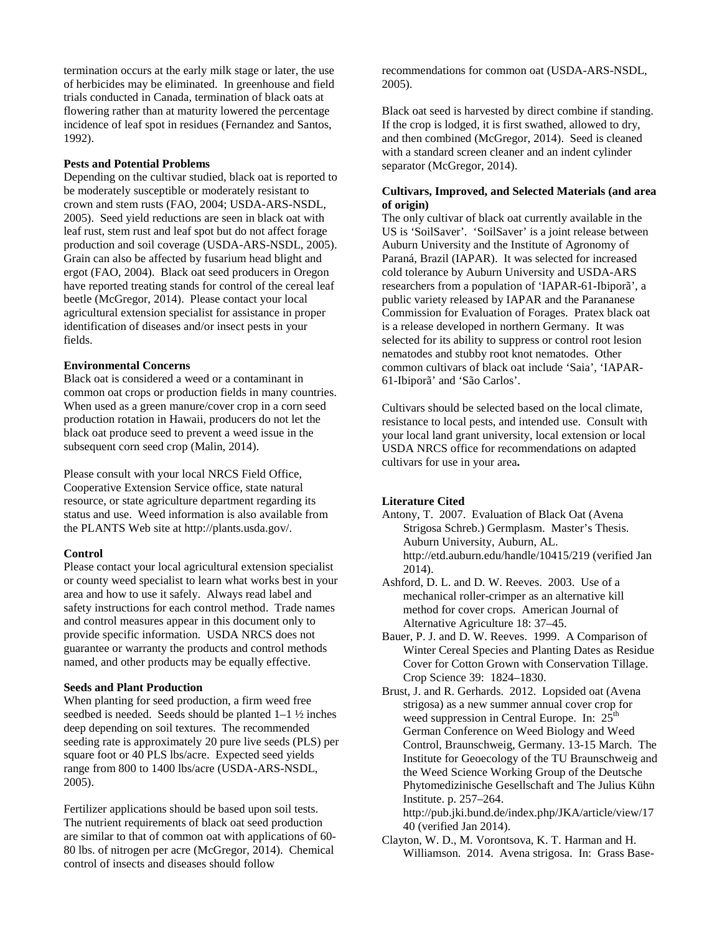termination occurs at the early milk stage or later, the use of herbicides may be eliminated. In greenhouse and field trials conducted in Canada, termination of black oats at flowering rather than at maturity lowered the percentage incidence of leaf spot in residues (Fernandez and Santos, 1992).

#### **Pests and Potential Problems**

Depending on the cultivar studied, black oat is reported to be moderately susceptible or moderately resistant to crown and stem rusts (FAO, 2004; USDA-ARS-NSDL, 2005). Seed yield reductions are seen in black oat with leaf rust, stem rust and leaf spot but do not affect forage production and soil coverage (USDA-ARS-NSDL, 2005). Grain can also be affected by fusarium head blight and ergot (FAO, 2004). Black oat seed producers in Oregon have reported treating stands for control of the cereal leaf beetle (McGregor, 2014). Please contact your local agricultural extension specialist for assistance in proper identification of diseases and/or insect pests in your fields.

# **Environmental Concerns**

Black oat is considered a weed or a contaminant in common oat crops or production fields in many countries. When used as a green manure/cover crop in a corn seed production rotation in Hawaii, producers do not let the black oat produce seed to prevent a weed issue in the subsequent corn seed crop (Malin, 2014).

Please consult with your local NRCS Field Office, Cooperative Extension Service office, state natural resource, or state agriculture department regarding its status and use. Weed information is also available from the PLANTS Web site at http://plants.usda.gov/.

### **Control**

Please contact your local agricultural extension specialist or county weed specialist to learn what works best in your area and how to use it safely. Always read label and safety instructions for each control method. Trade names and control measures appear in this document only to provide specific information. USDA NRCS does not guarantee or warranty the products and control methods named, and other products may be equally effective.

# **Seeds and Plant Production**

When planting for seed production, a firm weed free seedbed is needed. Seeds should be planted 1–1 ½ inches deep depending on soil textures. The recommended seeding rate is approximately 20 pure live seeds (PLS) per square foot or 40 PLS lbs/acre. Expected seed yields range from 800 to 1400 lbs/acre (USDA-ARS-NSDL, 2005).

Fertilizer applications should be based upon soil tests. The nutrient requirements of black oat seed production are similar to that of common oat with applications of 60- 80 lbs. of nitrogen per acre (McGregor, 2014). Chemical control of insects and diseases should follow

recommendations for common oat (USDA-ARS-NSDL, 2005).

Black oat seed is harvested by direct combine if standing. If the crop is lodged, it is first swathed, allowed to dry, and then combined (McGregor, 2014). Seed is cleaned with a standard screen cleaner and an indent cylinder separator (McGregor, 2014).

# **Cultivars, Improved, and Selected Materials (and area of origin)**

The only cultivar of black oat currently available in the US is 'SoilSaver'. 'SoilSaver' is a joint release between Auburn University and the Institute of Agronomy of Paraná, Brazil (IAPAR). It was selected for increased cold tolerance by Auburn University and USDA-ARS researchers from a population of 'IAPAR-61-Ibiporã', a public variety released by IAPAR and the Parananese Commission for Evaluation of Forages. Pratex black oat is a release developed in northern Germany. It was selected for its ability to suppress or control root lesion nematodes and stubby root knot nematodes. Other common cultivars of black oat include 'Saia', 'IAPAR-61-Ibiporã' and 'São Carlos'.

Cultivars should be selected based on the local climate, resistance to local pests, and intended use. Consult with your local land grant university, local extension or local USDA NRCS office for recommendations on adapted cultivars for use in your area**.**

### **Literature Cited**

- Antony, T. 2007. Evaluation of Black Oat (Avena Strigosa Schreb.) Germplasm. Master's Thesis. Auburn University, Auburn, AL. http://etd.auburn.edu/handle/10415/219 (verified Jan 2014).
- Ashford, D. L. and D. W. Reeves. 2003. Use of a mechanical roller-crimper as an alternative kill method for cover crops. American Journal of Alternative Agriculture 18: 37–45.
- Bauer, P. J. and D. W. Reeves. 1999. A Comparison of Winter Cereal Species and Planting Dates as Residue Cover for Cotton Grown with Conservation Tillage. Crop Science 39: 1824–1830.
- Brust, J. and R. Gerhards. 2012. Lopsided oat (Avena strigosa) as a new summer annual cover crop for weed suppression in Central Europe. In:  $25<sup>th</sup>$ German Conference on Weed Biology and Weed Control, Braunschweig, Germany. 13-15 March. The Institute for Geoecology of the TU Braunschweig and the Weed Science Working Group of the Deutsche Phytomedizinische Gesellschaft and The Julius Kühn Institute. p. 257–264. http://pub.jki.bund.de/index.php/JKA/article/view/17

40 (verified Jan 2014).

Clayton, W. D., M. Vorontsova, K. T. Harman and H. Williamson. 2014. Avena strigosa. In: Grass Base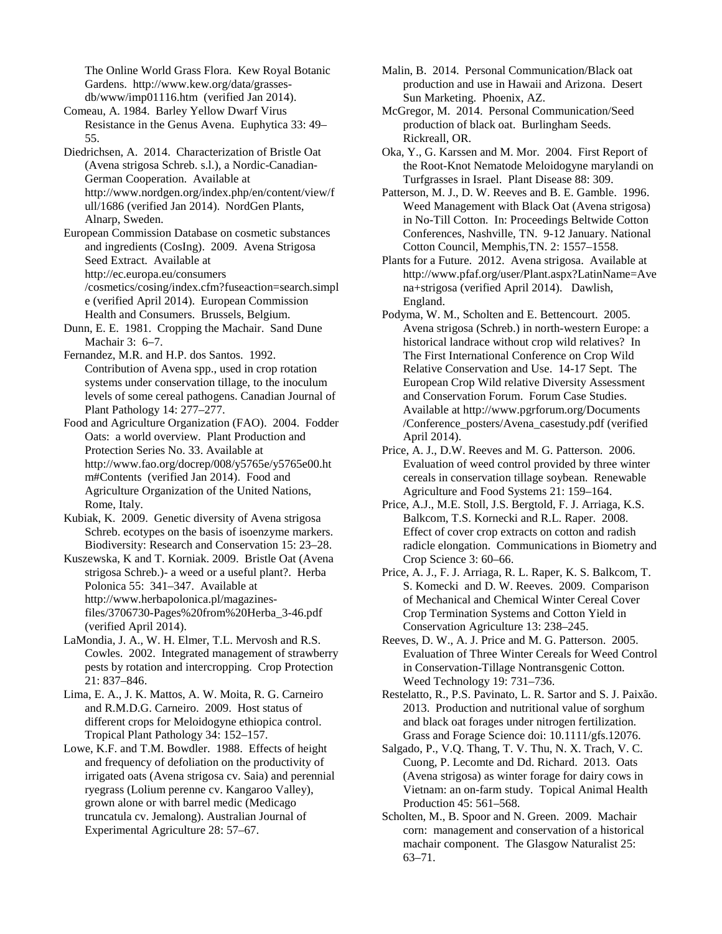The Online World Grass Flora. Kew Royal Botanic Gardens. http://www.kew.org/data/grassesdb/www/imp01116.htm (verified Jan 2014).

Comeau, A. 1984. Barley Yellow Dwarf Virus Resistance in the Genus Avena. Euphytica 33: 49– 55.

Diedrichsen, A. 2014. Characterization of Bristle Oat (Avena strigosa Schreb. s.l.), a Nordic-Canadian-German Cooperation. Available at http://www.nordgen.org/index.php/en/content/view/f ull/1686 (verified Jan 2014). NordGen Plants, Alnarp, Sweden.

European Commission Database on cosmetic substances and ingredients (CosIng). 2009. Avena Strigosa Seed Extract. Available at http://ec.europa.eu/consumers /cosmetics/cosing/index.cfm?fuseaction=search.simpl e (verified April 2014). European Commission Health and Consumers. Brussels, Belgium.

Dunn, E. E. 1981. Cropping the Machair. Sand Dune Machair 3: 6–7.

Fernandez, M.R. and H.P. dos Santos. 1992. Contribution of Avena spp., used in crop rotation systems under conservation tillage, to the inoculum levels of some cereal pathogens. Canadian Journal of Plant Pathology 14: 277–277.

Food and Agriculture Organization (FAO). 2004. Fodder Oats: a world overview. Plant Production and Protection Series No. 33. Available at http://www.fao.org/docrep/008/y5765e/y5765e00.ht m#Contents (verified Jan 2014). Food and Agriculture Organization of the United Nations, Rome, Italy.

Kubiak, K. 2009. Genetic diversity of Avena strigosa Schreb. ecotypes on the basis of isoenzyme markers. Biodiversity: Research and Conservation 15: 23–28.

Kuszewska, K and T. Korniak. 2009. Bristle Oat (Avena strigosa Schreb.)- a weed or a useful plant?. Herba Polonica 55: 341–347. Available at http://www.herbapolonica.pl/magazinesfiles/3706730-Pages%20from%20Herba\_3-46.pdf (verified April 2014).

LaMondia, J. A., W. H. Elmer, T.L. Mervosh and R.S. Cowles. 2002. Integrated management of strawberry pests by rotation and intercropping. Crop Protection 21: 837–846.

Lima, E. A., J. K. Mattos, A. W. Moita, R. G. Carneiro and R.M.D.G. Carneiro. 2009. Host status of different crops for Meloidogyne ethiopica control. Tropical Plant Pathology 34: 152–157.

Lowe, K.F. and T.M. Bowdler. 1988. Effects of height and frequency of defoliation on the productivity of irrigated oats (Avena strigosa cv. Saia) and perennial ryegrass (Lolium perenne cv. Kangaroo Valley), grown alone or with barrel medic (Medicago truncatula cv. Jemalong). Australian Journal of Experimental Agriculture 28: 57–67.

Malin, B. 2014. Personal Communication/Black oat production and use in Hawaii and Arizona. Desert Sun Marketing. Phoenix, AZ.

McGregor, M. 2014. Personal Communication/Seed production of black oat. Burlingham Seeds. Rickreall, OR.

Oka, Y., G. Karssen and M. Mor. 2004. First Report of the Root-Knot Nematode Meloidogyne marylandi on Turfgrasses in Israel. Plant Disease 88: 309.

Patterson, M. J., D. W. Reeves and B. E. Gamble. 1996. Weed Management with Black Oat (Avena strigosa) in No-Till Cotton. In: Proceedings Beltwide Cotton Conferences, Nashville, TN. 9-12 January. National Cotton Council, Memphis,TN. 2: 1557–1558.

Plants for a Future. 2012. Avena strigosa. Available at http://www.pfaf.org/user/Plant.aspx?LatinName=Ave na+strigosa (verified April 2014). Dawlish, England.

Podyma, W. M., Scholten and E. Bettencourt. 2005. Avena strigosa (Schreb.) in north-western Europe: a historical landrace without crop wild relatives? In The First International Conference on Crop Wild Relative Conservation and Use. 14-17 Sept. The European Crop Wild relative Diversity Assessment and Conservation Forum. Forum Case Studies. Available at http://www.pgrforum.org/Documents /Conference\_posters/Avena\_casestudy.pdf (verified April 2014).

Price, A. J., D.W. Reeves and M. G. Patterson. 2006. Evaluation of weed control provided by three winter cereals in conservation tillage soybean. Renewable Agriculture and Food Systems 21: 159–164.

Price, A.J., M.E. Stoll, J.S. Bergtold, F. J. Arriaga, K.S. Balkcom, T.S. Kornecki and R.L. Raper. 2008. Effect of cover crop extracts on cotton and radish radicle elongation. Communications in Biometry and Crop Science 3: 60–66.

Price, A. J., F. J. Arriaga, R. L. Raper, K. S. Balkcom, T. S. Komecki and D. W. Reeves. 2009. Comparison of Mechanical and Chemical Winter Cereal Cover Crop Termination Systems and Cotton Yield in Conservation Agriculture 13: 238–245.

Reeves, D. W., A. J. Price and M. G. Patterson. 2005. Evaluation of Three Winter Cereals for Weed Control in Conservation-Tillage Nontransgenic Cotton. Weed Technology 19: 731–736.

Restelatto, R., P.S. Pavinato, L. R. Sartor and S. J. Paixão. 2013. Production and nutritional value of sorghum and black oat forages under nitrogen fertilization. Grass and Forage Science doi: 10.1111/gfs.12076.

Salgado, P., V.Q. Thang, T. V. Thu, N. X. Trach, V. C. Cuong, P. Lecomte and Dd. Richard. 2013. Oats (Avena strigosa) as winter forage for dairy cows in Vietnam: an on-farm study. Topical Animal Health Production 45: 561–568.

Scholten, M., B. Spoor and N. Green. 2009. Machair corn: management and conservation of a historical machair component. The Glasgow Naturalist 25: 63–71.